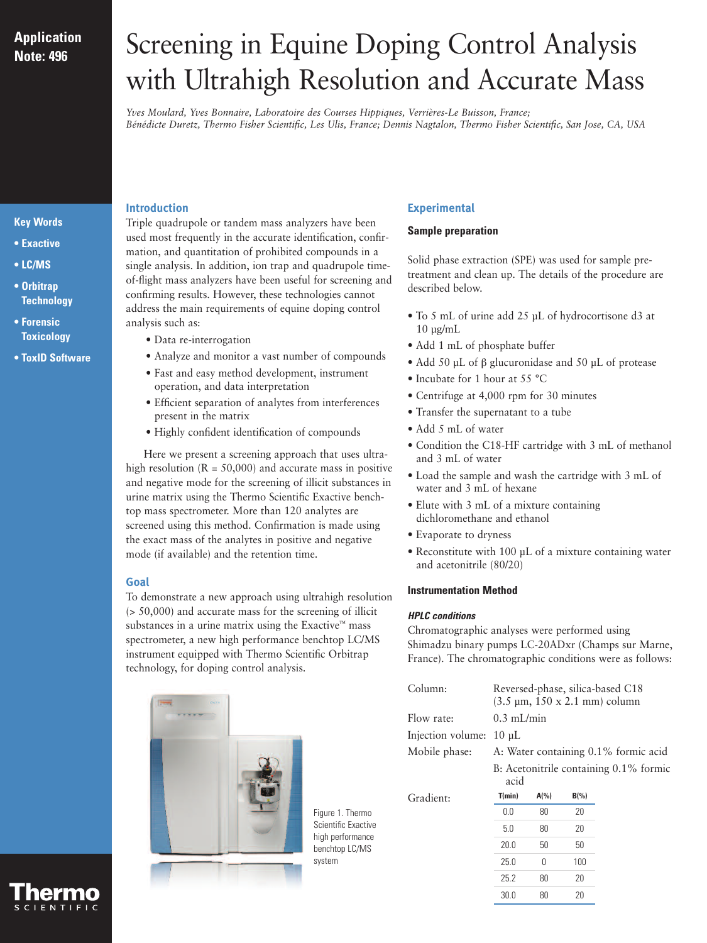## **Application Note: 496**

# Screening in Equine Doping Control Analysis with Ultrahigh Resolution and Accurate Mass

*Yves Moulard, Yves Bonnaire, Laboratoire des Courses Hippiques, Verrières-Le Buisson, France; Bénédicte Duretz, Thermo Fisher Scientific, Les Ulis, France; Dennis Nagtalon, Thermo Fisher Scientific, San Jose, CA, USA*

## **Key Words**

- **Exactive**
- **LC/MS**
- **Orbitrap Technology**
- **Forensic Toxicology**
- **ToxID Software**

## **Introduction**

Triple quadrupole or tandem mass analyzers have been used most frequently in the accurate identification, confirmation, and quantitation of prohibited compounds in a single analysis. In addition, ion trap and quadrupole timeof-flight mass analyzers have been useful for screening and confirming results. However, these technologies cannot address the main requirements of equine doping control analysis such as:

- Data re-interrogation
- Analyze and monitor a vast number of compounds
- Fast and easy method development, instrument operation, and data interpretation
- Efficient separation of analytes from interferences present in the matrix
- Highly confident identification of compounds

Here we present a screening approach that uses ultrahigh resolution  $(R = 50,000)$  and accurate mass in positive and negative mode for the screening of illicit substances in urine matrix using the Thermo Scientific Exactive benchtop mass spectrometer. More than 120 analytes are screened using this method. Confirmation is made using the exact mass of the analytes in positive and negative mode (if available) and the retention time.

## **Goal**

To demonstrate a new approach using ultrahigh resolution (> 50,000) and accurate mass for the screening of illicit substances in a urine matrix using the Exactive™ mass spectrometer, a new high performance benchtop LC/MS instrument equipped with Thermo Scientific Orbitrap technology, for doping control analysis.



Figure 1. Thermo Scientific Exactive high performance benchtop LC/MS system

## **Experimental**

#### **Sample preparation**

Solid phase extraction (SPE) was used for sample pretreatment and clean up. The details of the procedure are described below.

- To 5 mL of urine add 25 µL of hydrocortisone d3 at  $10 \mu g/mL$
- Add 1 mL of phosphate buffer
- Add 50 μL of β glucuronidase and 50 μL of protease
- Incubate for 1 hour at 55 °C
- Centrifuge at 4,000 rpm for 30 minutes
- Transfer the supernatant to a tube
- Add 5 mL of water
- Condition the C18-HF cartridge with 3 mL of methanol and 3 mL of water
- Load the sample and wash the cartridge with 3 mL of water and 3 mL of hexane
- Elute with 3 mL of a mixture containing dichloromethane and ethanol
- Evaporate to dryness
- Reconstitute with 100 µL of a mixture containing water and acetonitrile (80/20)

## **Instrumentation Method**

## *HPLC conditions*

Chromatographic analyses were performed using Shimadzu binary pumps LC-20ADxr (Champs sur Marne, France). The chromatographic conditions were as follows:

| Column:           | Reversed-phase, silica-based C18<br>$(3.5 \,\mu m, 150 \times 2.1 \,\text{mm})$ column |          |         |  |  |  |
|-------------------|----------------------------------------------------------------------------------------|----------|---------|--|--|--|
| Flow rate:        | $0.3 \text{ mL/min}$                                                                   |          |         |  |  |  |
| Injection volume: | $10 \mu L$                                                                             |          |         |  |  |  |
| Mobile phase:     | A: Water containing 0.1% formic acid<br>B: Acetonitrile containing 0.1% formic<br>acid |          |         |  |  |  |
|                   |                                                                                        |          |         |  |  |  |
| Gradient:         | T(min)                                                                                 | $A(\% )$ | $B(\%)$ |  |  |  |
|                   | 0.0                                                                                    | 80       | 20      |  |  |  |
|                   | 5.0                                                                                    | 80       | 20      |  |  |  |
|                   | 20.0                                                                                   | 50       | 50      |  |  |  |
|                   | 25.0                                                                                   | 0        | 100     |  |  |  |
|                   | 25.2                                                                                   | 80       | 20      |  |  |  |

30.0 80 20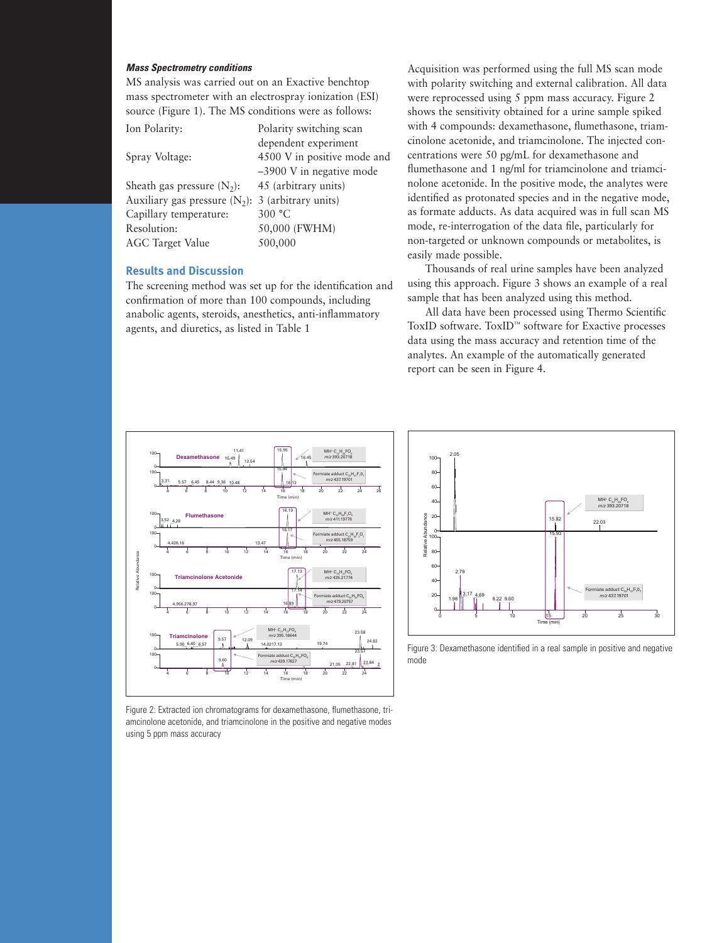#### *Mass Spectrometry conditions*

MS analysis was carried out on an Exactive benchtop mass spectrometer with an electrospray ionization (ESI) source (Figure 1). The MS conditions were as follows:

| Ion Polarity:                                        | Polarity switching scan     |
|------------------------------------------------------|-----------------------------|
|                                                      | dependent experiment        |
| Spray Voltage:                                       | 4500 V in positive mode and |
|                                                      | $-3900$ V in negative mode  |
| Sheath gas pressure $(N_2)$ :                        | 45 (arbitrary units)        |
| Auxiliary gas pressure $(N_2)$ : 3 (arbitrary units) |                             |
| Capillary temperature:                               | 300 °C                      |
| Resolution:                                          | 50,000 (FWHM)               |
| <b>AGC Target Value</b>                              | 500,000                     |

#### **Results and Discussion**

The screening method was set up for the identification and confirmation of more than 100 compounds, including anabolic agents, steroids, anesthetics, anti-inflammatory agents, and diuretics, as listed in Table 1

Acquisition was performed using the full MS scan mode with polarity switching and external calibration. All data were reprocessed using 5 ppm mass accuracy. Figure 2 shows the sensitivity obtained for a urine sample spiked with 4 compounds: dexamethasone, flumethasone, triamcinolone acetonide, and triamcinolone. The injected concentrations were 50 pg/mL for dexamethasone and flumethasone and 1 ng/ml for triamcinolone and triamcinolone acetonide. In the positive mode, the analytes were identified as protonated species and in the negative mode, as formate adducts. As data acquired was in full scan MS mode, re-interrogation of the data file, particularly for non-targeted or unknown compounds or metabolites, is easily made possible.

Thousands of real urine samples have been analyzed using this approach. Figure 3 shows an example of a real sample that has been analyzed using this method.

All data have been processed using Thermo Scientific ToxID software. ToxID™ software for Exactive processes data using the mass accuracy and retention time of the analytes. An example of the automatically generated report can be seen in Figure 4.



Figure 2: Extracted ion chromatograms for dexamethasone, flumethasone, triamcinolone acetonide, and triamcinolone in the positive and negative modes using 5 ppm mass accuracy



Figure 3: Dexamethasone identified in a real sample in positive and negative mode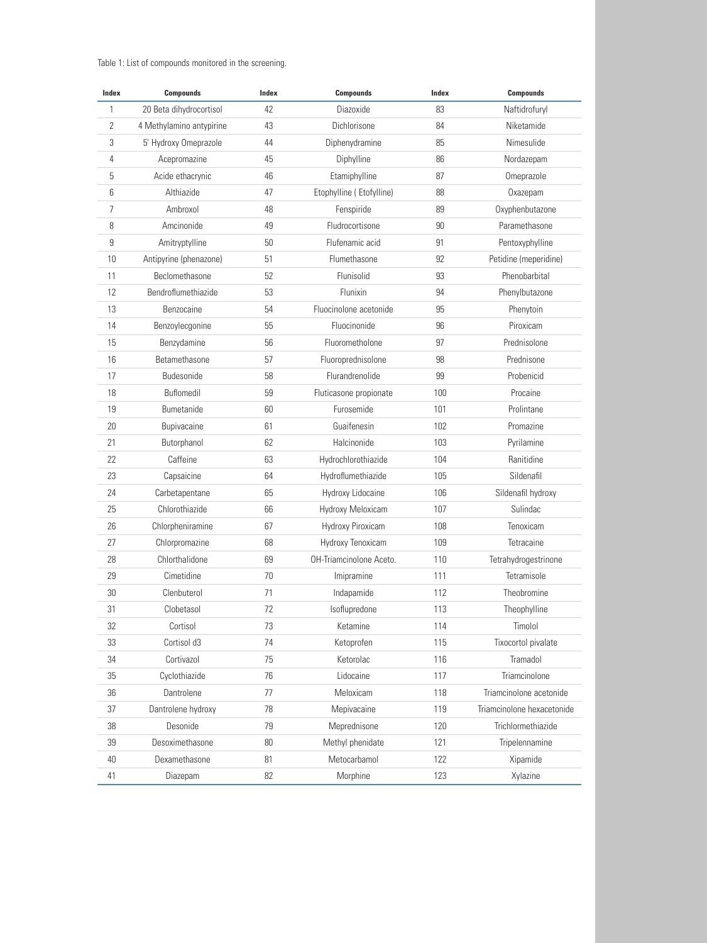#### Table 1: List of compounds monitored in the screening.

| Index | <b>Compounds</b>         | Index | <b>Compounds</b>         | Index | <b>Compounds</b>           |
|-------|--------------------------|-------|--------------------------|-------|----------------------------|
| 1     | 20 Beta dihydrocortisol  | 42    | Diazoxide                | 83    | Naftidrofuryl              |
| 2     | 4 Methylamino antypirine | 43    | Dichlorisone             | 84    | Niketamide                 |
| 3     | 5' Hydroxy Omeprazole    | 44    | Diphenydramine           | 85    | Nimesulide                 |
| 4     | Acepromazine             | 45    | Diphylline               | 86    | Nordazepam                 |
| 5     | Acide ethacrynic         | 46    | Etamiphylline            | 87    | Omeprazole                 |
| 6     | Althiazide               | 47    | Etophylline (Etofylline) | 88    | Oxazepam                   |
| 7     | Ambroxol                 | 48    | Fenspiride               | 89    | Oxyphenbutazone            |
| 8     | Amcinonide               | 49    | Fludrocortisone          | 90    | Paramethasone              |
| 9     | Amitryptylline           | 50    | Flufenamic acid          | 91    | Pentoxyphylline            |
| 10    | Antipyrine (phenazone)   | 51    | Flumethasone             | 92    | Petidine (meperidine)      |
| 11    | Beclomethasone           | 52    | Flunisolid               | 93    | Phenobarbital              |
| 12    | Bendroflumethiazide      | 53    | Flunixin                 | 94    | Phenylbutazone             |
| 13    | Benzocaine               | 54    | Fluocinolone acetonide   | 95    | Phenytoin                  |
| 14    | Benzoylecgonine          | 55    | Fluocinonide             | 96    | Piroxicam                  |
| 15    | Benzydamine              | 56    | Fluorometholone          | 97    | Prednisolone               |
| 16    | <b>Betamethasone</b>     | 57    | Fluoroprednisolone       | 98    | Prednisone                 |
| 17    | Budesonide               | 58    | Flurandrenolide          | 99    | Probenicid                 |
| 18    | Buflomedil               | 59    | Fluticasone propionate   | 100   | Procaine                   |
| 19    | <b>Bumetanide</b>        | 60    | Furosemide               | 101   | Prolintane                 |
| 20    | Bupivacaine              | 61    | Guaifenesin              | 102   | Promazine                  |
| 21    | Butorphanol              | 62    | Halcinonide              | 103   | Pyrilamine                 |
| 22    | Caffeine                 | 63    | Hydrochlorothiazide      | 104   | Ranitidine                 |
| 23    | Capsaicine               | 64    | Hydroflumethiazide       | 105   | Sildenafil                 |
| 24    | Carbetapentane           | 65    | Hydroxy Lidocaine        | 106   | Sildenafil hydroxy         |
| 25    | Chlorothiazide           | 66    | Hydroxy Meloxicam        | 107   | Sulindac                   |
| 26    | Chlorpheniramine         | 67    | Hydroxy Piroxicam        | 108   | Tenoxicam                  |
| 27    | Chlorpromazine           | 68    | Hydroxy Tenoxicam        | 109   | Tetracaine                 |
| 28    | Chlorthalidone           | 69    | OH-Triamcinolone Aceto.  | 110   | Tetrahydrogestrinone       |
| 29    | Cimetidine               | 70    | Imipramine               | 111   | Tetramisole                |
| 30    | Clenbuterol              | 71    | Indapamide               | 112   | Theobromine                |
| 31    | Clobetasol               | 72    | Isoflupredone            | 113   | Theophylline               |
| 32    | Cortisol                 | 73    | Ketamine                 | 114   | Timolol                    |
| 33    | Cortisol d3              | 74    | Ketoprofen               | 115   | Tixocortol pivalate        |
| 34    | Cortivazol               | 75    | Ketorolac                | 116   | Tramadol                   |
| 35    | Cyclothiazide            | 76    | Lidocaine                | 117   | Triamcinolone              |
| 36    | Dantrolene               | 77    | Meloxicam                | 118   | Triamcinolone acetonide    |
| 37    | Dantrolene hydroxy       | 78    | Mepivacaine              | 119   | Triamcinolone hexacetonide |
| 38    | Desonide                 | 79    | Meprednisone             | 120   | Trichlormethiazide         |
| 39    | Desoximethasone          | 80    | Methyl phenidate         | 121   | Tripelennamine             |
| 40    | Dexamethasone            | 81    | Metocarbamol             | 122   | Xipamide                   |
| 41    | Diazepam                 | 82    | Morphine                 | 123   | Xylazine                   |